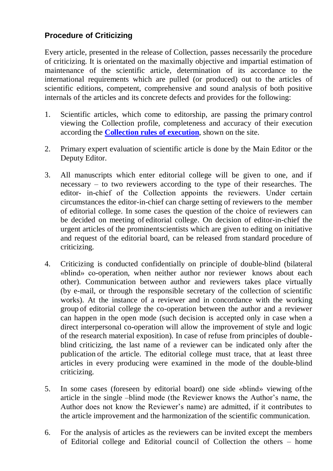## **Procedure of Criticizing**

Every article, presented in the release of Collection, passes necessarily the procedure of criticizing. It is orientated on the maximally objective and impartial estimation of maintenance of the scientific article, determination of its accordance to the international requirements which are pulled (or produced) out to the articles of scientific editions, competent, comprehensive and sound analysis of both positive internals of the articles and its concrete defects and provides for the following:

- 1. Scientific articles, which come to editorship, are passing the primary control viewing the Collection profile, completeness and accuracy of their execution according the **[Collection](https://psycholing-conference.com/index.php/conference/about/submissions) rules of execution**, shown on the site.
- 2. Primary expert evaluation of scientific article is done by the Main Editor or the Deputy Editor.
- 3. All manuscripts which enter editorial college will be given to one, and if necessary  $-$  to two reviewers according to the type of their researches. The editor- in-chief of the Сollection appoints the reviewers. Under certain circumstances the editor-in-chief can charge setting of reviewers to the member of editorial college. In some cases the question of the choice of reviewers can be decided on meeting of editorial college. On decision of editor-in-chief the urgent articles of the prominentscientists which are given to editing on initiative and request of the editorial board, can be released from standard procedure of criticizing.
- 4. Criticizing is conducted confidentially on principle of double-blind (bilateral «blind» co-operation, when neither author nor reviewer knows about each other). Communication between author and reviewers takes place virtually (by e-mail, or through the responsible secretary of the collection of scientific works). At the instance of a reviewer and in concordance with the working group of editorial college the co-operation between the author and a reviewer can happen in the open mode (such decision is accepted only in case when a direct interpersonal co-operation will allow the improvement of style and logic of the research material exposition). In case of refuse from principles of doubleblind criticizing, the last name of a reviewer can be indicated only after the publication of the article. The editorial college must trace, that at least three articles in every producing were examined in the mode of the double-blind criticizing.
- 5. In some cases (foreseen by editorial board) one side «blind» viewing ofthe article in the single –blind mode (the Reviewer knows the Author's name, the Author does not know the Reviewer's name) are admitted, if it contributes to the article improvement and the harmonization of the scientific communication.
- 6. For the analysis of articles as the reviewers can be invited except the members of Editorial college and Editorial council of Collection the others – home